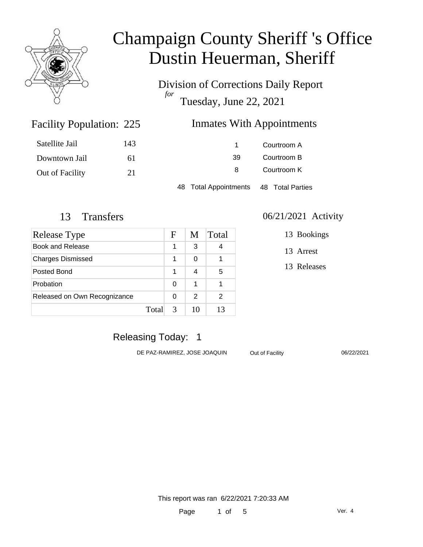

Division of Corrections Daily Report *for* Tuesday, June 22, 2021

### Inmates With Appointments

| Satellite Jail  | 143 |                       | Courtroom A      |
|-----------------|-----|-----------------------|------------------|
| Downtown Jail   | 61  | 39                    | Courtroom B      |
| Out of Facility | 21  | 8                     | Courtroom K      |
|                 |     | 48 Total Appointments | 48 Total Parties |

Facility Population: 225

| Release Type                 |       | F | M  | Total |
|------------------------------|-------|---|----|-------|
| Book and Release             |       | 1 | 3  |       |
| <b>Charges Dismissed</b>     |       | 1 | 0  |       |
| Posted Bond                  |       | 1 | 4  | 5     |
| Probation                    |       | 0 | 1  |       |
| Released on Own Recognizance |       | 0 | 2  | 2     |
|                              | Total | 3 | 10 | 13    |

#### 13 Transfers 06/21/2021 Activity

13 Bookings

13 Arrest

13 Releases

### Releasing Today: 1

DE PAZ-RAMIREZ, JOSE JOAQUIN Out of Facility 06/22/2021

This report was ran 6/22/2021 7:20:33 AM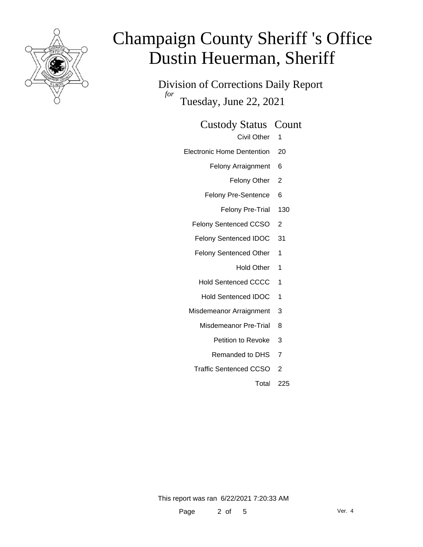

Division of Corrections Daily Report *for* Tuesday, June 22, 2021

#### Custody Status Count

- Civil Other 1
- Electronic Home Dentention 20
	- Felony Arraignment 6
		- Felony Other 2
	- Felony Pre-Sentence 6
		- Felony Pre-Trial 130
	- Felony Sentenced CCSO 2
	- Felony Sentenced IDOC 31
	- Felony Sentenced Other 1
		- Hold Other 1
		- Hold Sentenced CCCC 1
		- Hold Sentenced IDOC 1
	- Misdemeanor Arraignment 3
		- Misdemeanor Pre-Trial 8
			- Petition to Revoke 3
			- Remanded to DHS 7
		- Traffic Sentenced CCSO 2
			- Total 225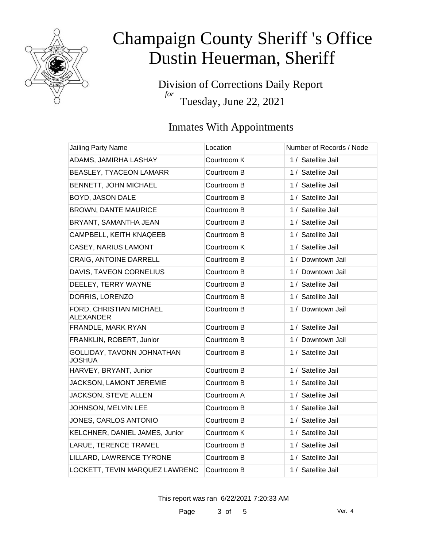

Division of Corrections Daily Report *for* Tuesday, June 22, 2021

### Inmates With Appointments

| <b>Jailing Party Name</b>                   | Location    | Number of Records / Node |
|---------------------------------------------|-------------|--------------------------|
| ADAMS, JAMIRHA LASHAY                       | Courtroom K | 1 / Satellite Jail       |
| BEASLEY, TYACEON LAMARR                     | Courtroom B | 1 / Satellite Jail       |
| BENNETT, JOHN MICHAEL                       | Courtroom B | 1 / Satellite Jail       |
| BOYD, JASON DALE                            | Courtroom B | 1 / Satellite Jail       |
| <b>BROWN, DANTE MAURICE</b>                 | Courtroom B | 1 / Satellite Jail       |
| BRYANT, SAMANTHA JEAN                       | Courtroom B | 1 / Satellite Jail       |
| CAMPBELL, KEITH KNAQEEB                     | Courtroom B | 1 / Satellite Jail       |
| CASEY, NARIUS LAMONT                        | Courtroom K | 1 / Satellite Jail       |
| <b>CRAIG, ANTOINE DARRELL</b>               | Courtroom B | 1 / Downtown Jail        |
| DAVIS, TAVEON CORNELIUS                     | Courtroom B | 1 / Downtown Jail        |
| DEELEY, TERRY WAYNE                         | Courtroom B | 1 / Satellite Jail       |
| DORRIS, LORENZO                             | Courtroom B | 1 / Satellite Jail       |
| FORD, CHRISTIAN MICHAEL<br><b>ALEXANDER</b> | Courtroom B | 1 / Downtown Jail        |
| FRANDLE, MARK RYAN                          | Courtroom B | 1 / Satellite Jail       |
| FRANKLIN, ROBERT, Junior                    | Courtroom B | 1 / Downtown Jail        |
| GOLLIDAY, TAVONN JOHNATHAN<br><b>JOSHUA</b> | Courtroom B | 1 / Satellite Jail       |
| HARVEY, BRYANT, Junior                      | Courtroom B | 1 / Satellite Jail       |
| JACKSON, LAMONT JEREMIE                     | Courtroom B | 1 / Satellite Jail       |
| JACKSON, STEVE ALLEN                        | Courtroom A | 1 / Satellite Jail       |
| JOHNSON, MELVIN LEE                         | Courtroom B | 1 / Satellite Jail       |
| JONES, CARLOS ANTONIO                       | Courtroom B | 1 / Satellite Jail       |
| KELCHNER, DANIEL JAMES, Junior              | Courtroom K | 1 / Satellite Jail       |
| LARUE, TERENCE TRAMEL                       | Courtroom B | 1 / Satellite Jail       |
| LILLARD, LAWRENCE TYRONE                    | Courtroom B | 1 / Satellite Jail       |
| LOCKETT, TEVIN MARQUEZ LAWRENC              | Courtroom B | 1 / Satellite Jail       |

This report was ran 6/22/2021 7:20:33 AM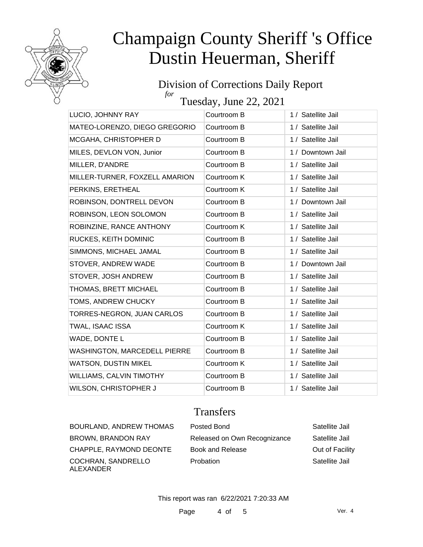

#### Division of Corrections Daily Report *for*

Tuesday, June 22, 2021

| LUCIO, JOHNNY RAY                   | Courtroom B | 1 / Satellite Jail |
|-------------------------------------|-------------|--------------------|
| MATEO-LORENZO, DIEGO GREGORIO       | Courtroom B | 1 / Satellite Jail |
| MCGAHA, CHRISTOPHER D               | Courtroom B | 1 / Satellite Jail |
| MILES, DEVLON VON, Junior           | Courtroom B | 1 / Downtown Jail  |
| MILLER, D'ANDRE                     | Courtroom B | 1 / Satellite Jail |
| MILLER-TURNER, FOXZELL AMARION      | Courtroom K | 1 / Satellite Jail |
| PERKINS, ERETHEAL                   | Courtroom K | 1 / Satellite Jail |
| ROBINSON, DONTRELL DEVON            | Courtroom B | 1 / Downtown Jail  |
| ROBINSON, LEON SOLOMON              | Courtroom B | 1 / Satellite Jail |
| ROBINZINE, RANCE ANTHONY            | Courtroom K | 1 / Satellite Jail |
| RUCKES, KEITH DOMINIC               | Courtroom B | 1 / Satellite Jail |
| SIMMONS, MICHAEL JAMAL              | Courtroom B | 1 / Satellite Jail |
| STOVER, ANDREW WADE                 | Courtroom B | 1 / Downtown Jail  |
| STOVER, JOSH ANDREW                 | Courtroom B | 1 / Satellite Jail |
| THOMAS, BRETT MICHAEL               | Courtroom B | 1 / Satellite Jail |
| TOMS, ANDREW CHUCKY                 | Courtroom B | 1 / Satellite Jail |
| TORRES-NEGRON, JUAN CARLOS          | Courtroom B | 1 / Satellite Jail |
| TWAL, ISAAC ISSA                    | Courtroom K | 1 / Satellite Jail |
| WADE, DONTE L                       | Courtroom B | 1 / Satellite Jail |
| <b>WASHINGTON, MARCEDELL PIERRE</b> | Courtroom B | 1 / Satellite Jail |
| <b>WATSON, DUSTIN MIKEL</b>         | Courtroom K | 1 / Satellite Jail |
| WILLIAMS, CALVIN TIMOTHY            | Courtroom B | 1 / Satellite Jail |
| WILSON, CHRISTOPHER J               | Courtroom B | 1 / Satellite Jail |

### **Transfers**

COCHRAN, SANDRELLO ALEXANDER

BOURLAND, ANDREW THOMAS Posted Bond Fig. 2012 Satellite Jail BROWN, BRANDON RAY Released on Own Recognizance Satellite Jail CHAPPLE, RAYMOND DEONTE Book and Release **Drawing CHAPPLE**, RAYMOND DEONTE Probation Satellite Jail